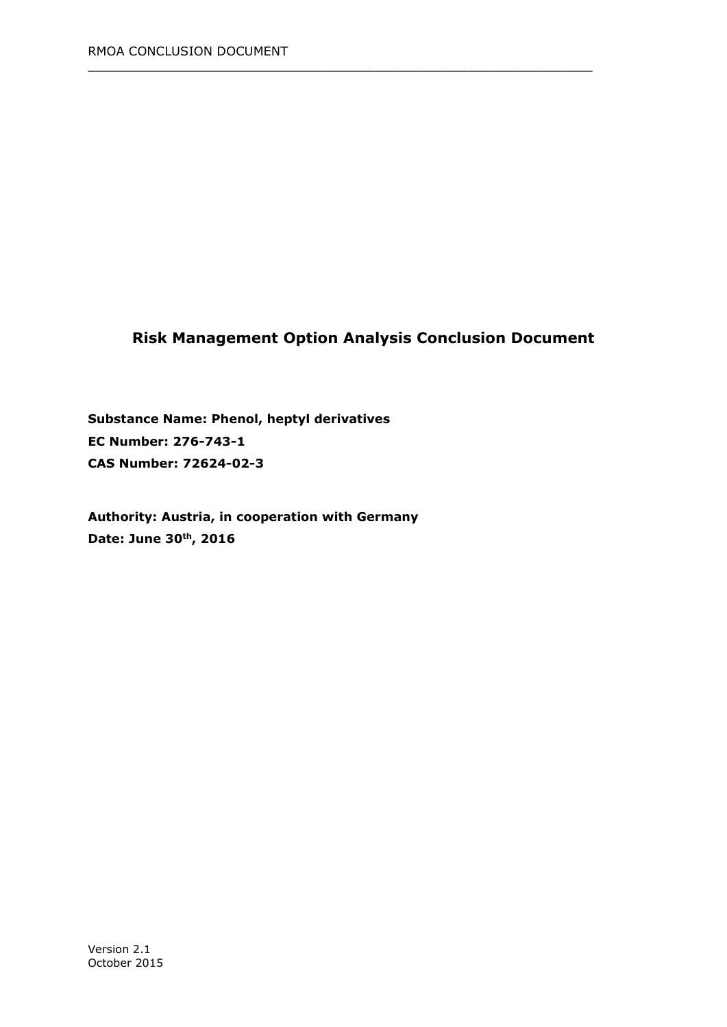# **Risk Management Option Analysis Conclusion Document**

 $\_$  , and the set of the set of the set of the set of the set of the set of the set of the set of the set of the set of the set of the set of the set of the set of the set of the set of the set of the set of the set of th

**Substance Name: Phenol, heptyl derivatives EC Number: 276-743-1 CAS Number: 72624-02-3**

**Authority: Austria, in cooperation with Germany Date: June 30th, 2016**

Version 2.1 October 2015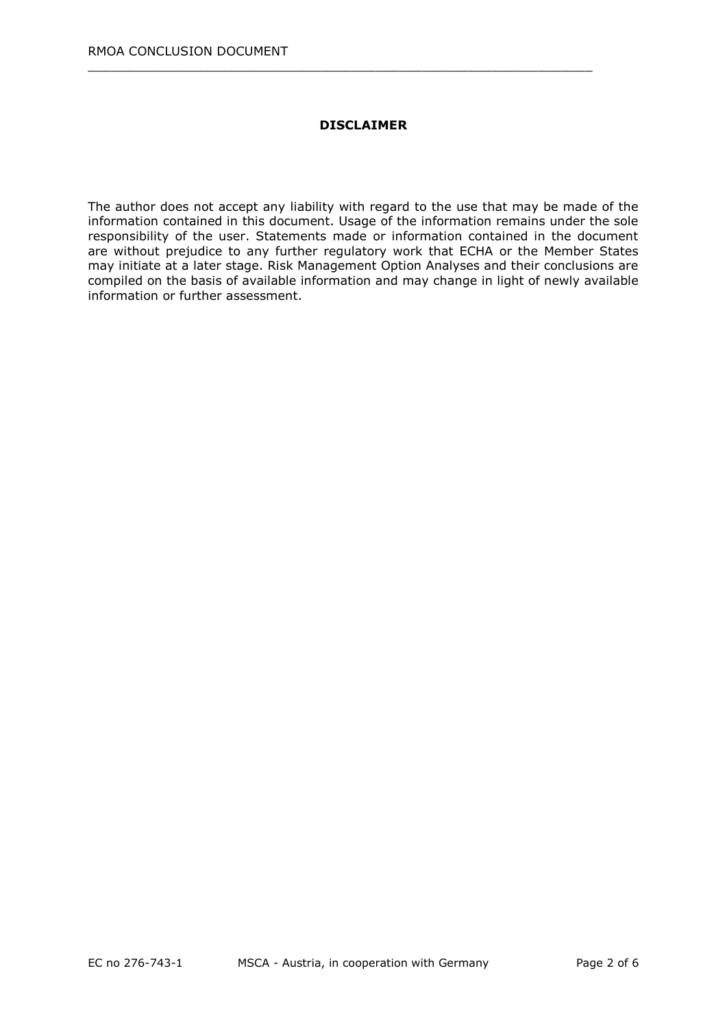#### **DISCLAIMER**

 $\_$  , and the set of the set of the set of the set of the set of the set of the set of the set of the set of the set of the set of the set of the set of the set of the set of the set of the set of the set of the set of th

The author does not accept any liability with regard to the use that may be made of the information contained in this document. Usage of the information remains under the sole responsibility of the user. Statements made or information contained in the document are without prejudice to any further regulatory work that ECHA or the Member States may initiate at a later stage. Risk Management Option Analyses and their conclusions are compiled on the basis of available information and may change in light of newly available information or further assessment.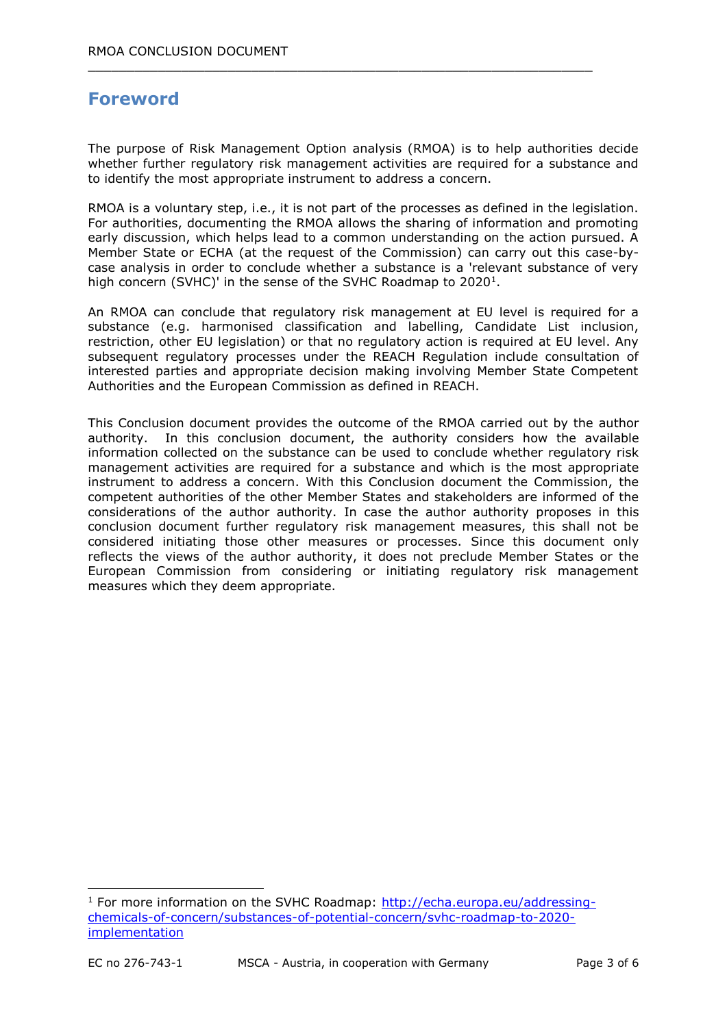# **Foreword**

-

The purpose of Risk Management Option analysis (RMOA) is to help authorities decide whether further regulatory risk management activities are required for a substance and to identify the most appropriate instrument to address a concern.

 $\_$  , and the set of the set of the set of the set of the set of the set of the set of the set of the set of the set of the set of the set of the set of the set of the set of the set of the set of the set of the set of th

RMOA is a voluntary step, i.e., it is not part of the processes as defined in the legislation. For authorities, documenting the RMOA allows the sharing of information and promoting early discussion, which helps lead to a common understanding on the action pursued. A Member State or ECHA (at the request of the Commission) can carry out this case-bycase analysis in order to conclude whether a substance is a 'relevant substance of very high concern (SVHC)' in the sense of the SVHC Roadmap to 2020<sup>1</sup>.

An RMOA can conclude that regulatory risk management at EU level is required for a substance (e.g. harmonised classification and labelling, Candidate List inclusion, restriction, other EU legislation) or that no regulatory action is required at EU level. Any subsequent regulatory processes under the REACH Regulation include consultation of interested parties and appropriate decision making involving Member State Competent Authorities and the European Commission as defined in REACH.

This Conclusion document provides the outcome of the RMOA carried out by the author authority. In this conclusion document, the authority considers how the available information collected on the substance can be used to conclude whether regulatory risk management activities are required for a substance and which is the most appropriate instrument to address a concern. With this Conclusion document the Commission, the competent authorities of the other Member States and stakeholders are informed of the considerations of the author authority. In case the author authority proposes in this conclusion document further regulatory risk management measures, this shall not be considered initiating those other measures or processes. Since this document only reflects the views of the author authority, it does not preclude Member States or the European Commission from considering or initiating regulatory risk management measures which they deem appropriate.

 $1$  For more information on the SVHC Roadmap: [http://echa.europa.eu/addressing](http://echa.europa.eu/addressing-chemicals-of-concern/substances-of-potential-concern/svhc-roadmap-to-2020-implementation)[chemicals-of-concern/substances-of-potential-concern/svhc-roadmap-to-2020](http://echa.europa.eu/addressing-chemicals-of-concern/substances-of-potential-concern/svhc-roadmap-to-2020-implementation) [implementation](http://echa.europa.eu/addressing-chemicals-of-concern/substances-of-potential-concern/svhc-roadmap-to-2020-implementation)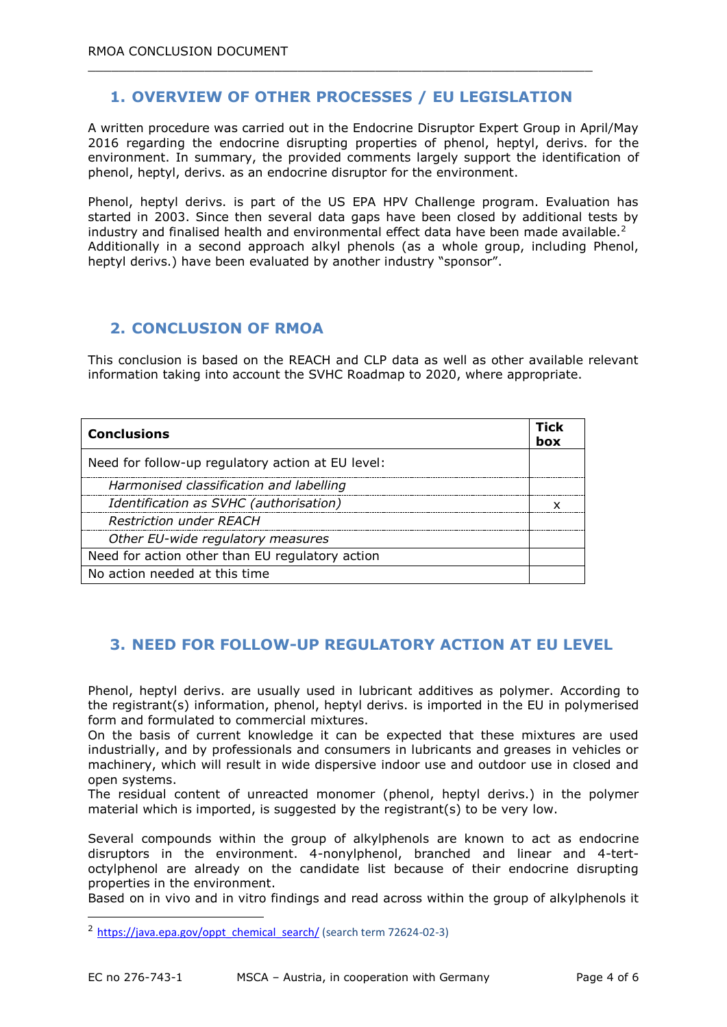### **1. OVERVIEW OF OTHER PROCESSES / EU LEGISLATION**

 $\_$  , and the set of the set of the set of the set of the set of the set of the set of the set of the set of the set of the set of the set of the set of the set of the set of the set of the set of the set of the set of th

A written procedure was carried out in the Endocrine Disruptor Expert Group in April/May 2016 regarding the endocrine disrupting properties of phenol, heptyl, derivs. for the environment. In summary, the provided comments largely support the identification of phenol, heptyl, derivs. as an endocrine disruptor for the environment.

Phenol, heptyl derivs. is part of the US EPA HPV Challenge program. Evaluation has started in 2003. Since then several data gaps have been closed by additional tests by industry and finalised health and environmental effect data have been made available.<sup>2</sup> Additionally in a second approach alkyl phenols (as a whole group, including Phenol, heptyl derivs.) have been evaluated by another industry "sponsor".

#### **2. CONCLUSION OF RMOA**

This conclusion is based on the REACH and CLP data as well as other available relevant information taking into account the SVHC Roadmap to 2020, where appropriate.

| <b>Conclusions</b>                                | Tick<br>box |
|---------------------------------------------------|-------------|
| Need for follow-up regulatory action at EU level: |             |
| Harmonised classification and labelling           |             |
| Identification as SVHC (authorisation)            |             |
| <b>Restriction under REACH</b>                    |             |
| Other EU-wide regulatory measures                 |             |
| Need for action other than EU regulatory action   |             |
| No action needed at this time                     |             |

#### **3. NEED FOR FOLLOW-UP REGULATORY ACTION AT EU LEVEL**

Phenol, heptyl derivs. are usually used in lubricant additives as polymer. According to the registrant(s) information, phenol, heptyl derivs. is imported in the EU in polymerised form and formulated to commercial mixtures.

On the basis of current knowledge it can be expected that these mixtures are used industrially, and by professionals and consumers in lubricants and greases in vehicles or machinery, which will result in wide dispersive indoor use and outdoor use in closed and open systems.

The residual content of unreacted monomer (phenol, heptyl derivs.) in the polymer material which is imported, is suggested by the registrant(s) to be very low.

Several compounds within the group of alkylphenols are known to act as endocrine disruptors in the environment. 4-nonylphenol, branched and linear and 4-tertoctylphenol are already on the candidate list because of their endocrine disrupting properties in the environment.

Based on in vivo and in vitro findings and read across within the group of alkylphenols it

-

<sup>&</sup>lt;sup>2</sup> [https://java.epa.gov/oppt\\_chemical\\_search/](https://java.epa.gov/oppt_chemical_search/) (search term 72624-02-3)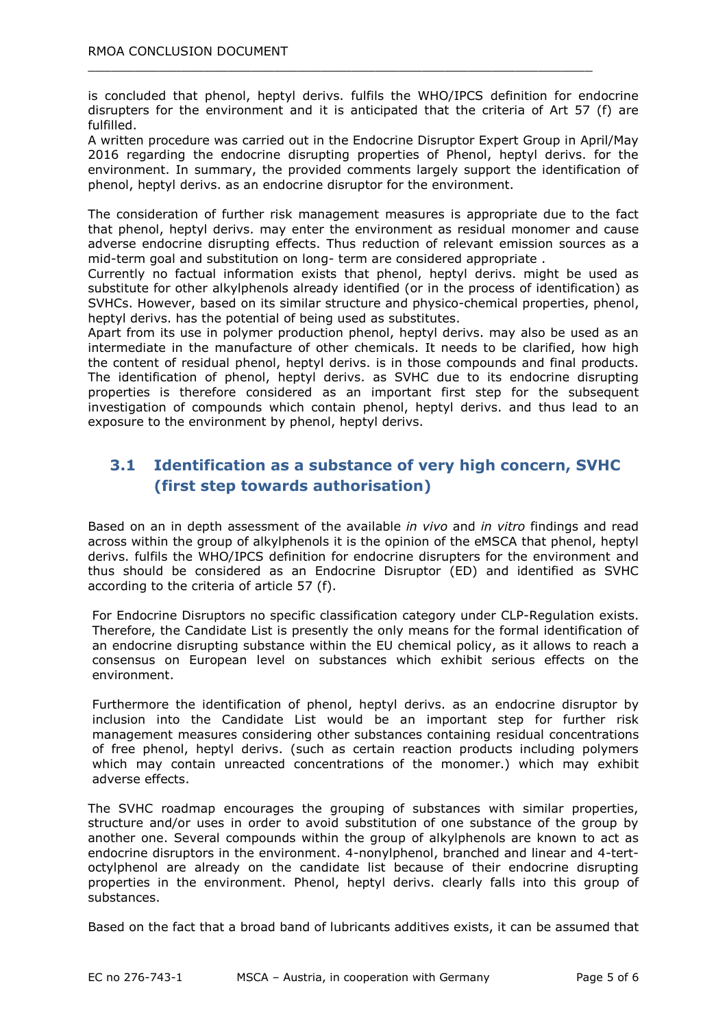is concluded that phenol, heptyl derivs. fulfils the WHO/IPCS definition for endocrine disrupters for the environment and it is anticipated that the criteria of Art 57 (f) are fulfilled.

 $\_$  , and the set of the set of the set of the set of the set of the set of the set of the set of the set of the set of the set of the set of the set of the set of the set of the set of the set of the set of the set of th

A written procedure was carried out in the Endocrine Disruptor Expert Group in April/May 2016 regarding the endocrine disrupting properties of Phenol, heptyl derivs. for the environment. In summary, the provided comments largely support the identification of phenol, heptyl derivs. as an endocrine disruptor for the environment.

The consideration of further risk management measures is appropriate due to the fact that phenol, heptyl derivs. may enter the environment as residual monomer and cause adverse endocrine disrupting effects. Thus reduction of relevant emission sources as a mid-term goal and substitution on long- term are considered appropriate .

Currently no factual information exists that phenol, heptyl derivs. might be used as substitute for other alkylphenols already identified (or in the process of identification) as SVHCs. However, based on its similar structure and physico-chemical properties, phenol, heptyl derivs. has the potential of being used as substitutes.

Apart from its use in polymer production phenol, heptyl derivs. may also be used as an intermediate in the manufacture of other chemicals. It needs to be clarified, how high the content of residual phenol, heptyl derivs. is in those compounds and final products. The identification of phenol, heptyl derivs. as SVHC due to its endocrine disrupting properties is therefore considered as an important first step for the subsequent investigation of compounds which contain phenol, heptyl derivs. and thus lead to an exposure to the environment by phenol, heptyl derivs.

## **3.1 Identification as a substance of very high concern, SVHC (first step towards authorisation)**

Based on an in depth assessment of the available *in vivo* and *in vitro* findings and read across within the group of alkylphenols it is the opinion of the eMSCA that phenol, heptyl derivs. fulfils the WHO/IPCS definition for endocrine disrupters for the environment and thus should be considered as an Endocrine Disruptor (ED) and identified as SVHC according to the criteria of article 57 (f).

For Endocrine Disruptors no specific classification category under CLP-Regulation exists. Therefore, the Candidate List is presently the only means for the formal identification of an endocrine disrupting substance within the EU chemical policy, as it allows to reach a consensus on European level on substances which exhibit serious effects on the environment.

Furthermore the identification of phenol, heptyl derivs. as an endocrine disruptor by inclusion into the Candidate List would be an important step for further risk management measures considering other substances containing residual concentrations of free phenol, heptyl derivs. (such as certain reaction products including polymers which may contain unreacted concentrations of the monomer.) which may exhibit adverse effects.

The SVHC roadmap encourages the grouping of substances with similar properties, structure and/or uses in order to avoid substitution of one substance of the group by another one. Several compounds within the group of alkylphenols are known to act as endocrine disruptors in the environment. 4-nonylphenol, branched and linear and 4-tertoctylphenol are already on the candidate list because of their endocrine disrupting properties in the environment. Phenol, heptyl derivs. clearly falls into this group of substances.

Based on the fact that a broad band of lubricants additives exists, it can be assumed that